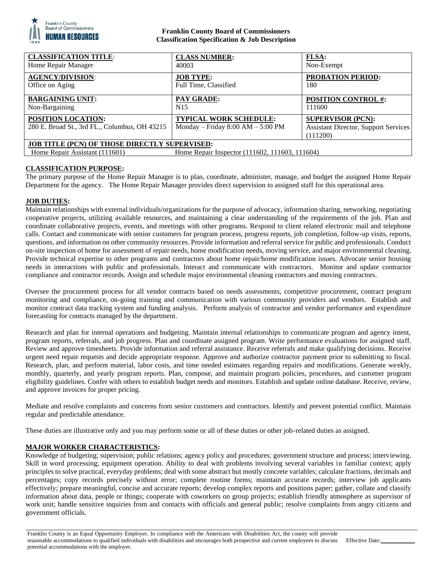

## **Franklin County Board of Commissioners Classification Specification & Job Description**

| <b>CLASS NUMBER:</b>                                                                   | <b>FLSA:</b>                                                                        |
|----------------------------------------------------------------------------------------|-------------------------------------------------------------------------------------|
| 40003                                                                                  | Non-Exempt                                                                          |
| <b>JOB TYPE:</b>                                                                       | <b>PROBATION PERIOD:</b>                                                            |
| Full Time, Classified                                                                  | 180                                                                                 |
| <b>PAY GRADE:</b>                                                                      | <b>POSITION CONTROL #:</b>                                                          |
| N <sub>15</sub>                                                                        | 111600                                                                              |
| <b>TYPICAL WORK SCHEDULE:</b><br>Monday – Friday $8:00 AM - 5:00 PM$                   | <b>SUPERVISOR (PCN):</b><br><b>Assistant Director, Support Services</b><br>(111200) |
| <b>JOB TITLE (PCN) OF THOSE DIRECTLY SUPERVISED:</b><br>Home Repair Assistant (111601) |                                                                                     |
|                                                                                        | Home Repair Inspector (111602, 111603, 111604)                                      |

## **CLASSIFICATION PURPOSE:**

The primary purpose of the Home Repair Manager is to plan, coordinate, administer, manage, and budget the assigned Home Repair Department for the agency. The Home Repair Manager provides direct supervision to assigned staff for this operational area.

## **JOB DUTIES:**

Maintain relationships with external individuals/organizations for the purpose of advocacy, information sharing, networking, negotiating cooperative projects, utilizing available resources, and maintaining a clear understanding of the requirements of the job. Plan and coordinate collaborative projects, events, and meetings with other programs. Respond to client related electronic mail and telephone calls. Contact and communicate with senior customers for program process, progress reports, job completion, follow-up visits, reports, questions, and information on other community resources. Provide information and referral service for public and professionals. Conduct on-site inspection of home for assessment of repair needs, home modification needs, moving service, and major environmental cleaning. Provide technical expertise to other programs and contractors about home repair/home modification issues. Advocate senior housing needs in interactions with public and professionals. Interact and communicate with contractors. Monitor and update contractor compliance and contractor records. Assign and schedule major environmental cleaning contractors and moving contractors.

Oversee the procurement process for all vendor contracts based on needs assessments, competitive procurement, contract program monitoring and compliance, on-going training and communication with various community providers and vendors. Establish and monitor contract data tracking system and funding analysis. Perform analysis of contractor and vendor performance and expenditure forecasting for contracts managed by the department.

Research and plan for internal operations and budgeting. Maintain internal relationships to communicate program and agency intent, program reports, referrals, and job progress. Plan and coordinate assigned program. Write performance evaluations for assigned staff. Review and approve timesheets. Provide information and referral assistance. Receive referrals and make qualifying decisions. Receive urgent need repair requests and decide appropriate response. Approve and authorize contractor payment prior to submitting to fiscal. Research, plan, and perform material, labor costs, and time needed estimates regarding repairs and modifications. Generate weekly, monthly, quarterly, and yearly program reports. Plan, compose, and maintain program policies, procedures, and customer program eligibility guidelines. Confer with others to establish budget needs and monitors. Establish and update online database. Receive, review, and approve invoices for proper pricing.

Mediate and resolve complaints and concerns from senior customers and contractors. Identify and prevent potential conflict. Maintain regular and predictable attendance.

These duties are illustrative only and you may perform some or all of these duties or other job-related duties as assigned.

# **MAJOR WORKER CHARACTERISTICS:**

Knowledge of budgeting; supervision; public relations; agency policy and procedures; government structure and process; interviewing. Skill in word processing; equipment operation. Ability to deal with problems involving several variables in familiar context; apply principles to solve practical, everyday problems; deal with some abstract but mostly concrete variables; calculate fractions, decimals and percentages; copy records precisely without error; complete routine forms; maintain accurate records; interview job applicants effectively; prepare meaningful, concise and accurate reports; develop complex reports and positions paper; gather, collate and classify information about data, people or things; cooperate with coworkers on group projects; establish friendly atmosphere as supervisor of work unit; handle sensitive inquiries from and contacts with officials and general public; resolve complaints from angry citizens and government officials.